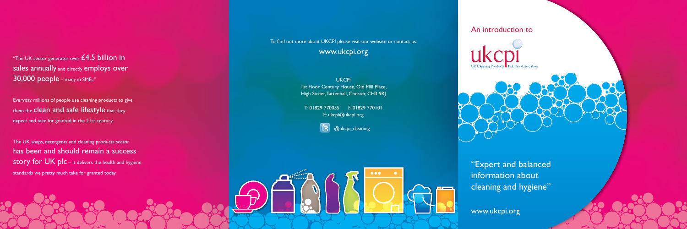



"The UK sector generates over  $£4.5$  billion in sales annually and directly employs over 30,000 people – many in SMEs."

Everyday millions of people use cleaning products to give them the clean and safe lifestyle that they expect and take for granted in the 21st century.

To find out more about UKCPI please visit our website or contact us. www.ukcpi.org

> **UKCPI** 1st Floor, Century House, Old Mill Place, High Street, Tattenhall, Chester, CH3 9RJ

The UK soaps, detergents and cleaning products sector has been and should remain a success story for  $UK$  plc – it delivers the health and hygiene standards we pretty much take for granted today.

T: 01829 770055 F: 01829 770101 E: ukcpi@ukcpi.org

**B** @ukcpi\_cleaning